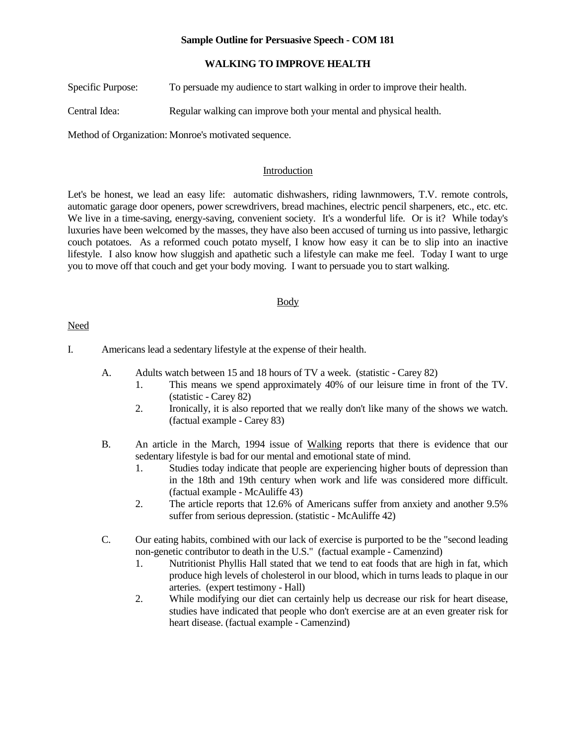## **Sample Outline for Persuasive Speech - COM 181**

## **WALKING TO IMPROVE HEALTH**

Specific Purpose: To persuade my audience to start walking in order to improve their health.

Central Idea: Regular walking can improve both your mental and physical health.

Method of Organization: Monroe's motivated sequence.

### Introduction

Let's be honest, we lead an easy life: automatic dishwashers, riding lawnmowers, T.V. remote controls, automatic garage door openers, power screwdrivers, bread machines, electric pencil sharpeners, etc., etc. etc. We live in a time-saving, energy-saving, convenient society. It's a wonderful life. Or is it? While today's luxuries have been welcomed by the masses, they have also been accused of turning us into passive, lethargic couch potatoes. As a reformed couch potato myself, I know how easy it can be to slip into an inactive lifestyle. I also know how sluggish and apathetic such a lifestyle can make me feel. Today I want to urge you to move off that couch and get your body moving. I want to persuade you to start walking.

### Body

### Need

I. Americans lead a sedentary lifestyle at the expense of their health.

- A. Adults watch between 15 and 18 hours of TV a week. (statistic Carey 82)
	- 1. This means we spend approximately 40% of our leisure time in front of the TV. (statistic - Carey 82)
	- 2. Ironically, it is also reported that we really don't like many of the shows we watch. (factual example - Carey 83)
- B. An article in the March, 1994 issue of Walking reports that there is evidence that our sedentary lifestyle is bad for our mental and emotional state of mind.
	- 1. Studies today indicate that people are experiencing higher bouts of depression than in the 18th and 19th century when work and life was considered more difficult. (factual example - McAuliffe 43)
	- 2. The article reports that 12.6% of Americans suffer from anxiety and another 9.5% suffer from serious depression. (statistic - McAuliffe 42)
- C. Our eating habits, combined with our lack of exercise is purported to be the "second leading non-genetic contributor to death in the U.S." (factual example - Camenzind)
	- 1. Nutritionist Phyllis Hall stated that we tend to eat foods that are high in fat, which produce high levels of cholesterol in our blood, which in turns leads to plaque in our arteries. (expert testimony - Hall)
	- 2. While modifying our diet can certainly help us decrease our risk for heart disease, studies have indicated that people who don't exercise are at an even greater risk for heart disease. (factual example - Camenzind)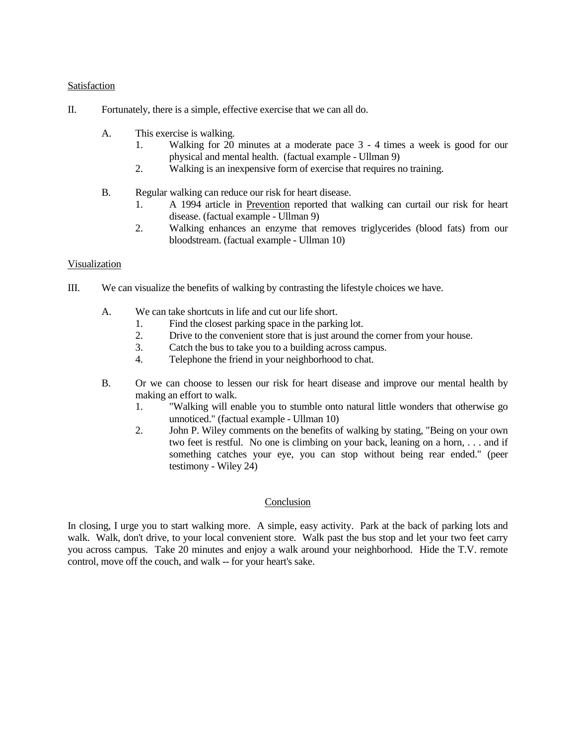## Satisfaction

- II. Fortunately, there is a simple, effective exercise that we can all do.
	- A. This exercise is walking.
		- 1. Walking for 20 minutes at a moderate pace 3 4 times a week is good for our physical and mental health. (factual example - Ullman 9)
		- 2. Walking is an inexpensive form of exercise that requires no training.
	- B. Regular walking can reduce our risk for heart disease.
		- 1. A 1994 article in Prevention reported that walking can curtail our risk for heart disease. (factual example - Ullman 9)
		- 2. Walking enhances an enzyme that removes triglycerides (blood fats) from our bloodstream. (factual example - Ullman 10)

# Visualization

- III. We can visualize the benefits of walking by contrasting the lifestyle choices we have.
	- A. We can take shortcuts in life and cut our life short.
		- 1. Find the closest parking space in the parking lot.
		- 2. Drive to the convenient store that is just around the corner from your house.<br>3. Catch the bus to take you to a building across campus.
		- Catch the bus to take you to a building across campus.
		- 4. Telephone the friend in your neighborhood to chat.
	- B. Or we can choose to lessen our risk for heart disease and improve our mental health by making an effort to walk.
		- 1. "Walking will enable you to stumble onto natural little wonders that otherwise go unnoticed." (factual example - Ullman 10)
		- 2. John P. Wiley comments on the benefits of walking by stating, "Being on your own two feet is restful. No one is climbing on your back, leaning on a horn, . . . and if something catches your eye, you can stop without being rear ended." (peer testimony - Wiley 24)

# Conclusion

In closing, I urge you to start walking more. A simple, easy activity. Park at the back of parking lots and walk. Walk, don't drive, to your local convenient store. Walk past the bus stop and let your two feet carry you across campus. Take 20 minutes and enjoy a walk around your neighborhood. Hide the T.V. remote control, move off the couch, and walk -- for your heart's sake.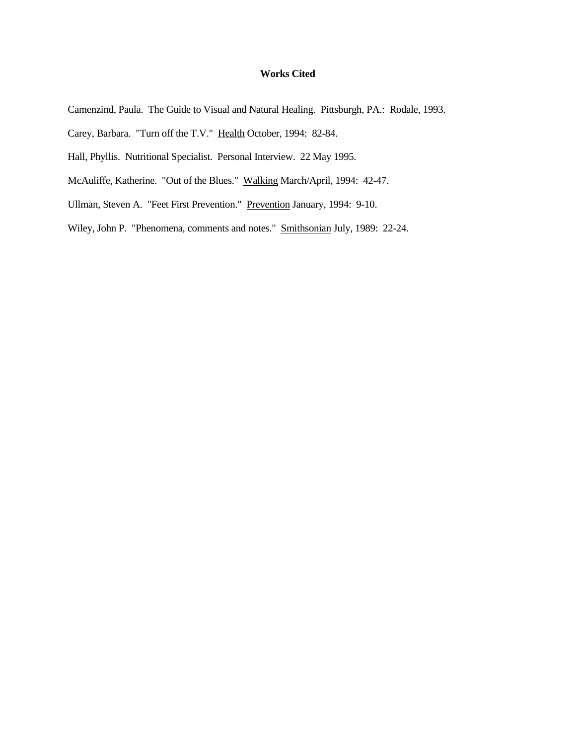# **Works Cited**

- Camenzind, Paula. The Guide to Visual and Natural Healing. Pittsburgh, PA.: Rodale, 1993.
- Carey, Barbara. "Turn off the T.V." Health October, 1994: 82-84.
- Hall, Phyllis. Nutritional Specialist. Personal Interview. 22 May 1995.
- McAuliffe, Katherine. "Out of the Blues." Walking March/April, 1994: 42-47.
- Ullman, Steven A. "Feet First Prevention." Prevention January, 1994: 9-10.
- Wiley, John P. "Phenomena, comments and notes." Smithsonian July, 1989: 22-24.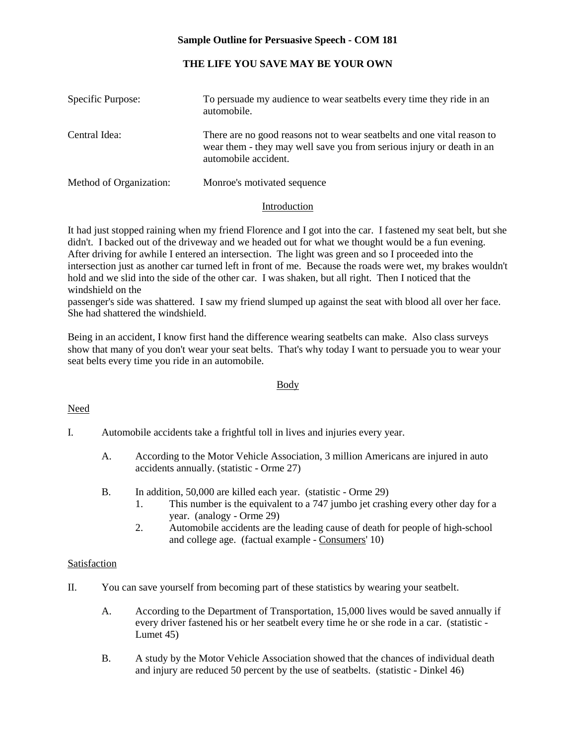# **Sample Outline for Persuasive Speech - COM 181**

# **THE LIFE YOU SAVE MAY BE YOUR OWN**

| Specific Purpose:       | To persuade my audience to wear seatbelts every time they ride in an<br>automobile.                                                                                      |
|-------------------------|--------------------------------------------------------------------------------------------------------------------------------------------------------------------------|
| Central Idea:           | There are no good reasons not to wear seatbelts and one vital reason to<br>wear them - they may well save you from serious injury or death in an<br>automobile accident. |
| Method of Organization: | Monroe's motivated sequence                                                                                                                                              |

### Introduction

It had just stopped raining when my friend Florence and I got into the car. I fastened my seat belt, but she didn't. I backed out of the driveway and we headed out for what we thought would be a fun evening. After driving for awhile I entered an intersection. The light was green and so I proceeded into the intersection just as another car turned left in front of me. Because the roads were wet, my brakes wouldn't hold and we slid into the side of the other car. I was shaken, but all right. Then I noticed that the windshield on the

passenger's side was shattered. I saw my friend slumped up against the seat with blood all over her face. She had shattered the windshield.

Being in an accident, I know first hand the difference wearing seatbelts can make. Also class surveys show that many of you don't wear your seat belts. That's why today I want to persuade you to wear your seat belts every time you ride in an automobile.

### Body

# Need

- I. Automobile accidents take a frightful toll in lives and injuries every year.
	- A. According to the Motor Vehicle Association, 3 million Americans are injured in auto accidents annually. (statistic - Orme 27)
	- B. In addition, 50,000 are killed each year. (statistic Orme 29)
		- 1. This number is the equivalent to a 747 jumbo jet crashing every other day for a year. (analogy - Orme 29)
		- 2. Automobile accidents are the leading cause of death for people of high-school and college age. (factual example - Consumers' 10)

# Satisfaction

- II. You can save yourself from becoming part of these statistics by wearing your seatbelt.
	- A. According to the Department of Transportation, 15,000 lives would be saved annually if every driver fastened his or her seatbelt every time he or she rode in a car. (statistic - Lumet 45)
	- B. A study by the Motor Vehicle Association showed that the chances of individual death and injury are reduced 50 percent by the use of seatbelts. (statistic - Dinkel 46)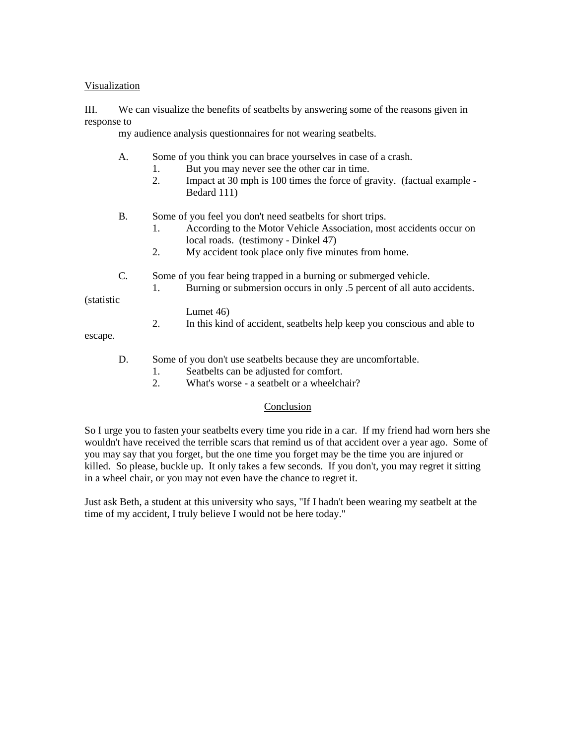## Visualization

III. We can visualize the benefits of seatbelts by answering some of the reasons given in response to

my audience analysis questionnaires for not wearing seatbelts.

- A. Some of you think you can brace yourselves in case of a crash.
	- 1. But you may never see the other car in time.
	- 2. Impact at 30 mph is 100 times the force of gravity. (factual example Bedard 111)
- B. Some of you feel you don't need seatbelts for short trips.
	- 1. According to the Motor Vehicle Association, most accidents occur on local roads. (testimony - Dinkel 47)
	- 2. My accident took place only five minutes from home.
- C. Some of you fear being trapped in a burning or submerged vehicle.
	- 1. Burning or submersion occurs in only .5 percent of all auto accidents.

(statistic

### Lumet 46)

2. In this kind of accident, seatbelts help keep you conscious and able to

escape.

- D. Some of you don't use seatbelts because they are uncomfortable.
	- 1. Seatbelts can be adjusted for comfort.
	- 2. What's worse a seatbelt or a wheelchair?

### Conclusion

So I urge you to fasten your seatbelts every time you ride in a car. If my friend had worn hers she wouldn't have received the terrible scars that remind us of that accident over a year ago. Some of you may say that you forget, but the one time you forget may be the time you are injured or killed. So please, buckle up. It only takes a few seconds. If you don't, you may regret it sitting in a wheel chair, or you may not even have the chance to regret it.

Just ask Beth, a student at this university who says, "If I hadn't been wearing my seatbelt at the time of my accident, I truly believe I would not be here today."